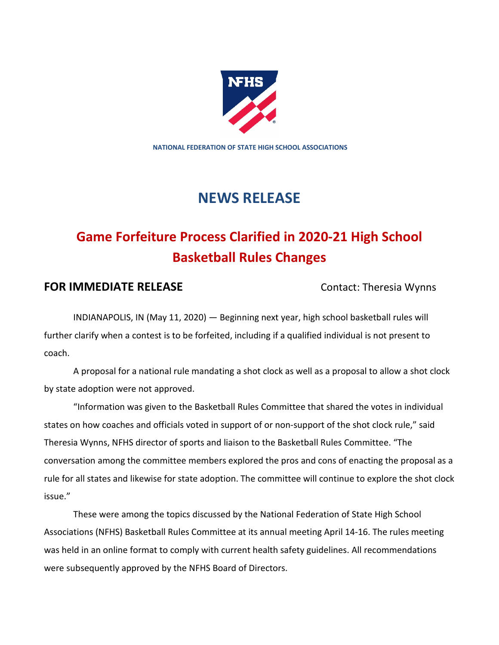

**NATIONAL FEDERATION OF STATE HIGH SCHOOL ASSOCIATIONS**

## **NEWS RELEASE**

## **Game Forfeiture Process Clarified in 2020-21 High School Basketball Rules Changes**

## **FOR IMMEDIATE RELEASE** Contact: Theresia Wynns

INDIANAPOLIS, IN (May 11, 2020) — Beginning next year, high school basketball rules will further clarify when a contest is to be forfeited, including if a qualified individual is not present to coach.

A proposal for a national rule mandating a shot clock as well as a proposal to allow a shot clock by state adoption were not approved.

"Information was given to the Basketball Rules Committee that shared the votes in individual states on how coaches and officials voted in support of or non-support of the shot clock rule," said Theresia Wynns, NFHS director of sports and liaison to the Basketball Rules Committee. "The conversation among the committee members explored the pros and cons of enacting the proposal as a rule for all states and likewise for state adoption. The committee will continue to explore the shot clock issue."

These were among the topics discussed by the National Federation of State High School Associations (NFHS) Basketball Rules Committee at its annual meeting April 14-16. The rules meeting was held in an online format to comply with current health safety guidelines. All recommendations were subsequently approved by the NFHS Board of Directors.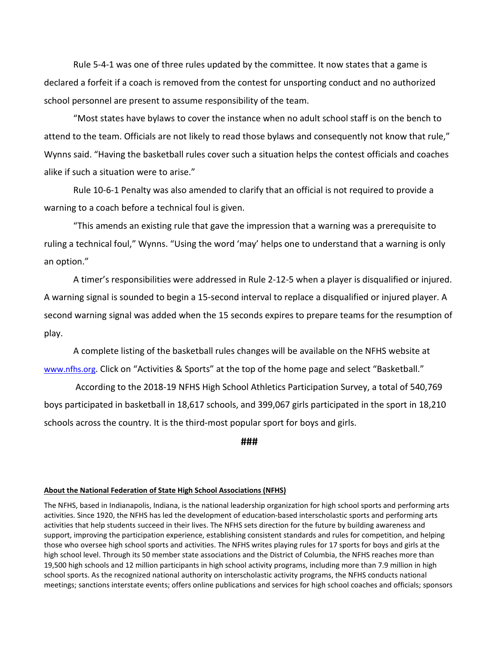Rule 5-4-1 was one of three rules updated by the committee. It now states that a game is declared a forfeit if a coach is removed from the contest for unsporting conduct and no authorized school personnel are present to assume responsibility of the team.

"Most states have bylaws to cover the instance when no adult school staff is on the bench to attend to the team. Officials are not likely to read those bylaws and consequently not know that rule," Wynns said. "Having the basketball rules cover such a situation helps the contest officials and coaches alike if such a situation were to arise."

Rule 10-6-1 Penalty was also amended to clarify that an official is not required to provide a warning to a coach before a technical foul is given.

"This amends an existing rule that gave the impression that a warning was a prerequisite to ruling a technical foul," Wynns. "Using the word 'may' helps one to understand that a warning is only an option."

A timer's responsibilities were addressed in Rule 2-12-5 when a player is disqualified or injured. A warning signal is sounded to begin a 15-second interval to replace a disqualified or injured player. A second warning signal was added when the 15 seconds expires to prepare teams for the resumption of play.

A complete listing of the basketball rules changes will be available on the NFHS website at [www.nfhs.org.](http://www.nfhs.org/) Click on "Activities & Sports" at the top of the home page and select "Basketball."

According to the 2018-19 NFHS High School Athletics Participation Survey, a total of 540,769 boys participated in basketball in 18,617 schools, and 399,067 girls participated in the sport in 18,210 schools across the country. It is the third-most popular sport for boys and girls.

**###**

## **About the National Federation of State High School Associations (NFHS)**

The NFHS, based in Indianapolis, Indiana, is the national leadership organization for high school sports and performing arts activities. Since 1920, the NFHS has led the development of education-based interscholastic sports and performing arts activities that help students succeed in their lives. The NFHS sets direction for the future by building awareness and support, improving the participation experience, establishing consistent standards and rules for competition, and helping those who oversee high school sports and activities. The NFHS writes playing rules for 17 sports for boys and girls at the high school level. Through its 50 member state associations and the District of Columbia, the NFHS reaches more than 19,500 high schools and 12 million participants in high school activity programs, including more than 7.9 million in high school sports. As the recognized national authority on interscholastic activity programs, the NFHS conducts national meetings; sanctions interstate events; offers online publications and services for high school coaches and officials; sponsors